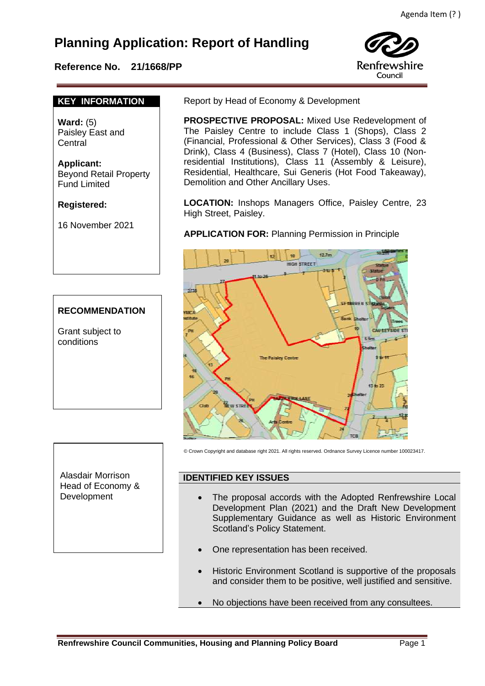# **Planning Application: Report of Handling**

## **Reference No. 21/1668/PP**



#### **KEY INFORMATION**

**Ward:** (5) Paisley East and Central

**Applicant:** Beyond Retail Property Fund Limited

#### **Registered:**

16 November 2021

# **RECOMMENDATION**

Grant subject to conditions

Alasdair Morrison Head of Economy & Development

Report by Head of Economy & Development

 **PROSPECTIVE PROPOSAL:** Mixed Use Redevelopment of The Paisley Centre to include Class 1 (Shops), Class 2 (Financial, Professional & Other Services), Class 3 (Food & Drink), Class 4 (Business), Class 7 (Hotel), Class 10 (Nonresidential Institutions), Class 11 (Assembly & Leisure), Residential, Healthcare, Sui Generis (Hot Food Takeaway), Demolition and Other Ancillary Uses.

**LOCATION:** Inshops Managers Office, Paisley Centre, 23 High Street, Paisley.

#### **APPLICATION FOR:** Planning Permission in Principle



© Crown Copyright and database right 2021. All rights reserved. Ordnance Survey Licence number 100023417.

#### **IDENTIFIED KEY ISSUES**

- The proposal accords with the Adopted Renfrewshire Local Development Plan (2021) and the Draft New Development Supplementary Guidance as well as Historic Environment Scotland's Policy Statement.
- One representation has been received.
- Historic Environment Scotland is supportive of the proposals and consider them to be positive, well justified and sensitive.
- No objections have been received from any consultees.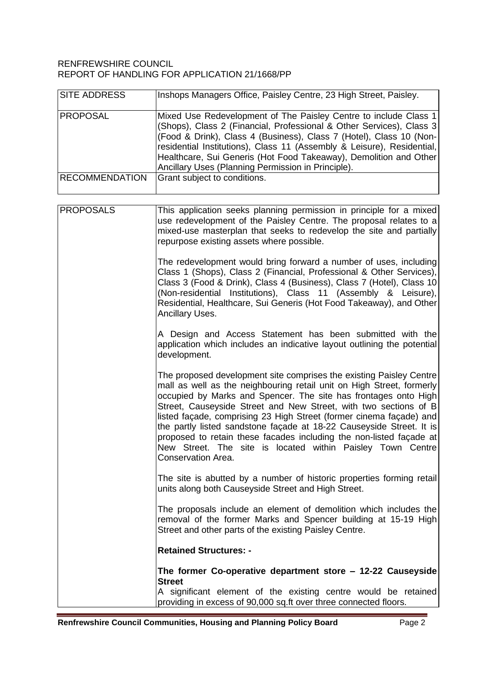#### RENFREWSHIRE COUNCIL REPORT OF HANDLING FOR APPLICATION 21/1668/PP

| <b>SITE ADDRESS</b>   | Inshops Managers Office, Paisley Centre, 23 High Street, Paisley.                                                                                                                                                                                                                                                                                                                                                                                                                                                                                                                             |
|-----------------------|-----------------------------------------------------------------------------------------------------------------------------------------------------------------------------------------------------------------------------------------------------------------------------------------------------------------------------------------------------------------------------------------------------------------------------------------------------------------------------------------------------------------------------------------------------------------------------------------------|
| <b>PROPOSAL</b>       | Mixed Use Redevelopment of The Paisley Centre to include Class 1<br>(Shops), Class 2 (Financial, Professional & Other Services), Class 3<br>(Food & Drink), Class 4 (Business), Class 7 (Hotel), Class 10 (Non-<br>residential Institutions), Class 11 (Assembly & Leisure), Residential,<br>Healthcare, Sui Generis (Hot Food Takeaway), Demolition and Other<br>Ancillary Uses (Planning Permission in Principle).                                                                                                                                                                          |
| <b>RECOMMENDATION</b> | Grant subject to conditions.                                                                                                                                                                                                                                                                                                                                                                                                                                                                                                                                                                  |
| <b>PROPOSALS</b>      | This application seeks planning permission in principle for a mixed<br>use redevelopment of the Paisley Centre. The proposal relates to a<br>mixed-use masterplan that seeks to redevelop the site and partially<br>repurpose existing assets where possible.                                                                                                                                                                                                                                                                                                                                 |
|                       | The redevelopment would bring forward a number of uses, including<br>Class 1 (Shops), Class 2 (Financial, Professional & Other Services),<br>Class 3 (Food & Drink), Class 4 (Business), Class 7 (Hotel), Class 10<br>(Non-residential Institutions), Class 11 (Assembly & Leisure),<br>Residential, Healthcare, Sui Generis (Hot Food Takeaway), and Other<br>Ancillary Uses.                                                                                                                                                                                                                |
|                       | A Design and Access Statement has been submitted with the<br>application which includes an indicative layout outlining the potential<br>development.                                                                                                                                                                                                                                                                                                                                                                                                                                          |
|                       | The proposed development site comprises the existing Paisley Centre<br>mall as well as the neighbouring retail unit on High Street, formerly<br>occupied by Marks and Spencer. The site has frontages onto High<br>Street, Causeyside Street and New Street, with two sections of B<br>listed façade, comprising 23 High Street (former cinema façade) and<br>the partly listed sandstone façade at 18-22 Causeyside Street. It is<br>proposed to retain these facades including the non-listed façade at<br>New Street. The site is located within Paisley Town Centre<br>Conservation Area. |
|                       | The site is abutted by a number of historic properties forming retail<br>units along both Causeyside Street and High Street.                                                                                                                                                                                                                                                                                                                                                                                                                                                                  |
|                       | The proposals include an element of demolition which includes the<br>removal of the former Marks and Spencer building at 15-19 High<br>Street and other parts of the existing Paisley Centre.                                                                                                                                                                                                                                                                                                                                                                                                 |
|                       | <b>Retained Structures: -</b>                                                                                                                                                                                                                                                                                                                                                                                                                                                                                                                                                                 |
|                       | The former Co-operative department store - 12-22 Causeyside<br><b>Street</b>                                                                                                                                                                                                                                                                                                                                                                                                                                                                                                                  |
|                       | A significant element of the existing centre would be retained<br>providing in excess of 90,000 sq.ft over three connected floors.                                                                                                                                                                                                                                                                                                                                                                                                                                                            |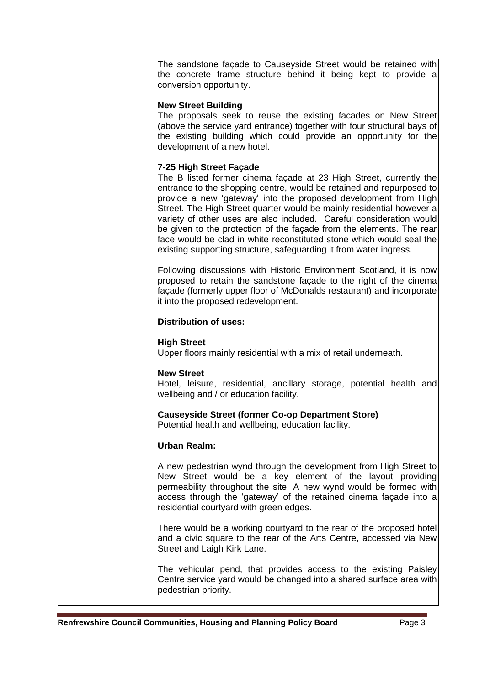The sandstone façade to Causeyside Street would be retained with the concrete frame structure behind it being kept to provide a conversion opportunity.

#### **New Street Building**

The proposals seek to reuse the existing facades on New Street (above the service yard entrance) together with four structural bays of the existing building which could provide an opportunity for the development of a new hotel.

#### **7-25 High Street Façade**

The B listed former cinema façade at 23 High Street, currently the entrance to the shopping centre, would be retained and repurposed to provide a new 'gateway' into the proposed development from High Street. The High Street quarter would be mainly residential however a variety of other uses are also included. Careful consideration would be given to the protection of the façade from the elements. The rear face would be clad in white reconstituted stone which would seal the existing supporting structure, safeguarding it from water ingress.

Following discussions with Historic Environment Scotland, it is now proposed to retain the sandstone façade to the right of the cinema façade (formerly upper floor of McDonalds restaurant) and incorporate it into the proposed redevelopment.

#### **Distribution of uses:**

#### **High Street**

Upper floors mainly residential with a mix of retail underneath.

#### **New Street**

Hotel, leisure, residential, ancillary storage, potential health and wellbeing and / or education facility.

# **Causeyside Street (former Co-op Department Store)**

Potential health and wellbeing, education facility.

## **Urban Realm:**

A new pedestrian wynd through the development from High Street to New Street would be a key element of the layout providing permeability throughout the site. A new wynd would be formed with access through the 'gateway' of the retained cinema façade into a residential courtyard with green edges.

There would be a working courtyard to the rear of the proposed hotel and a civic square to the rear of the Arts Centre, accessed via New Street and Laigh Kirk Lane.

The vehicular pend, that provides access to the existing Paisley Centre service yard would be changed into a shared surface area with pedestrian priority.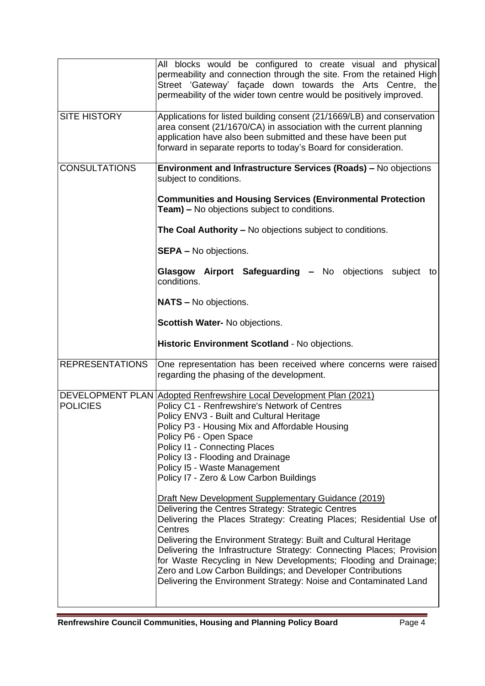|                        | All blocks would be configured to create visual and physical<br>permeability and connection through the site. From the retained High<br>Street 'Gateway' façade down towards the Arts Centre, the<br>permeability of the wider town centre would be positively improved.                                                                                 |
|------------------------|----------------------------------------------------------------------------------------------------------------------------------------------------------------------------------------------------------------------------------------------------------------------------------------------------------------------------------------------------------|
| <b>SITE HISTORY</b>    | Applications for listed building consent (21/1669/LB) and conservation<br>area consent (21/1670/CA) in association with the current planning<br>application have also been submitted and these have been put<br>forward in separate reports to today's Board for consideration.                                                                          |
| <b>CONSULTATIONS</b>   | Environment and Infrastructure Services (Roads) - No objections<br>subject to conditions.                                                                                                                                                                                                                                                                |
|                        | <b>Communities and Housing Services (Environmental Protection</b><br><b>Team)</b> – No objections subject to conditions.                                                                                                                                                                                                                                 |
|                        | The Coal Authority - No objections subject to conditions.                                                                                                                                                                                                                                                                                                |
|                        | <b>SEPA - No objections.</b>                                                                                                                                                                                                                                                                                                                             |
|                        | Glasgow Airport Safeguarding - No objections subject<br>to<br>conditions.                                                                                                                                                                                                                                                                                |
|                        | <b>NATS - No objections.</b>                                                                                                                                                                                                                                                                                                                             |
|                        | Scottish Water- No objections.                                                                                                                                                                                                                                                                                                                           |
|                        |                                                                                                                                                                                                                                                                                                                                                          |
|                        | Historic Environment Scotland - No objections.                                                                                                                                                                                                                                                                                                           |
| <b>REPRESENTATIONS</b> | One representation has been received where concerns were raised<br>regarding the phasing of the development.                                                                                                                                                                                                                                             |
|                        | DEVELOPMENT PLAN Adopted Renfrewshire Local Development Plan (2021)                                                                                                                                                                                                                                                                                      |
| <b>POLICIES</b>        | Policy C1 - Renfrewshire's Network of Centres<br>Policy ENV3 - Built and Cultural Heritage                                                                                                                                                                                                                                                               |
|                        | Policy P3 - Housing Mix and Affordable Housing<br>Policy P6 - Open Space                                                                                                                                                                                                                                                                                 |
|                        | Policy I1 - Connecting Places<br>Policy I3 - Flooding and Drainage                                                                                                                                                                                                                                                                                       |
|                        | Policy I5 - Waste Management<br>Policy I7 - Zero & Low Carbon Buildings                                                                                                                                                                                                                                                                                  |
|                        | <b>Draft New Development Supplementary Guidance (2019)</b>                                                                                                                                                                                                                                                                                               |
|                        | Delivering the Centres Strategy: Strategic Centres<br>Delivering the Places Strategy: Creating Places; Residential Use of                                                                                                                                                                                                                                |
|                        | Centres<br>Delivering the Environment Strategy: Built and Cultural Heritage<br>Delivering the Infrastructure Strategy: Connecting Places; Provision<br>for Waste Recycling in New Developments; Flooding and Drainage;<br>Zero and Low Carbon Buildings; and Developer Contributions<br>Delivering the Environment Strategy: Noise and Contaminated Land |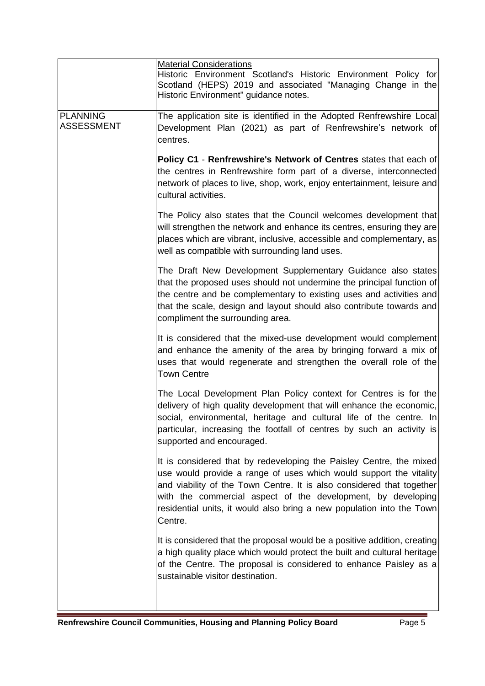|                                      | <b>Material Considerations</b><br>Historic Environment Scotland's Historic Environment Policy for<br>Scotland (HEPS) 2019 and associated "Managing Change in the<br>Historic Environment" guidance notes.                                                                                                                                                              |
|--------------------------------------|------------------------------------------------------------------------------------------------------------------------------------------------------------------------------------------------------------------------------------------------------------------------------------------------------------------------------------------------------------------------|
| <b>PLANNING</b><br><b>ASSESSMENT</b> | The application site is identified in the Adopted Renfrewshire Local<br>Development Plan (2021) as part of Renfrewshire's network of<br>centres.                                                                                                                                                                                                                       |
|                                      | Policy C1 - Renfrewshire's Network of Centres states that each of<br>the centres in Renfrewshire form part of a diverse, interconnected<br>network of places to live, shop, work, enjoy entertainment, leisure and<br>cultural activities.                                                                                                                             |
|                                      | The Policy also states that the Council welcomes development that<br>will strengthen the network and enhance its centres, ensuring they are<br>places which are vibrant, inclusive, accessible and complementary, as<br>well as compatible with surrounding land uses.                                                                                                 |
|                                      | The Draft New Development Supplementary Guidance also states<br>that the proposed uses should not undermine the principal function of<br>the centre and be complementary to existing uses and activities and<br>that the scale, design and layout should also contribute towards and<br>compliment the surrounding area.                                               |
|                                      | It is considered that the mixed-use development would complement<br>and enhance the amenity of the area by bringing forward a mix of<br>uses that would regenerate and strengthen the overall role of the<br><b>Town Centre</b>                                                                                                                                        |
|                                      | The Local Development Plan Policy context for Centres is for the<br>delivery of high quality development that will enhance the economic,<br>social, environmental, heritage and cultural life of the centre. In<br>particular, increasing the footfall of centres by such an activity is<br>supported and encouraged.                                                  |
|                                      | It is considered that by redeveloping the Paisley Centre, the mixed<br>use would provide a range of uses which would support the vitality<br>and viability of the Town Centre. It is also considered that together<br>with the commercial aspect of the development, by developing<br>residential units, it would also bring a new population into the Town<br>Centre. |
|                                      | It is considered that the proposal would be a positive addition, creating<br>a high quality place which would protect the built and cultural heritage<br>of the Centre. The proposal is considered to enhance Paisley as a<br>sustainable visitor destination.                                                                                                         |
|                                      |                                                                                                                                                                                                                                                                                                                                                                        |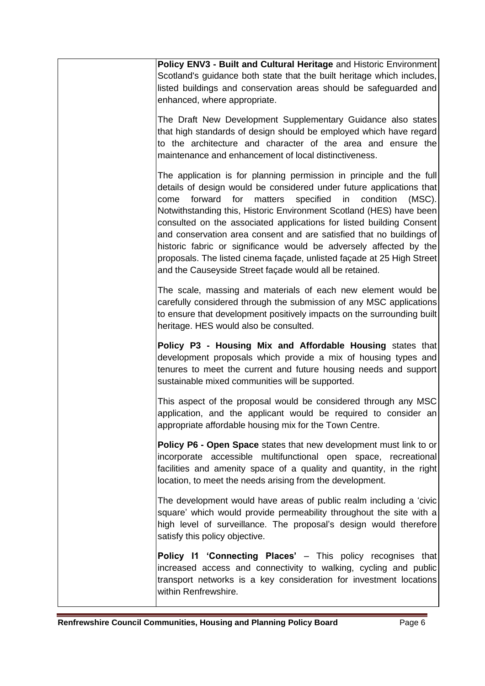| Policy ENV3 - Built and Cultural Heritage and Historic Environment<br>Scotland's guidance both state that the built heritage which includes,<br>listed buildings and conservation areas should be safeguarded and<br>enhanced, where appropriate.                                                                                                                                                                                                                                                                                                                                                                                                          |
|------------------------------------------------------------------------------------------------------------------------------------------------------------------------------------------------------------------------------------------------------------------------------------------------------------------------------------------------------------------------------------------------------------------------------------------------------------------------------------------------------------------------------------------------------------------------------------------------------------------------------------------------------------|
| The Draft New Development Supplementary Guidance also states<br>that high standards of design should be employed which have regard<br>to the architecture and character of the area and ensure the<br>maintenance and enhancement of local distinctiveness.                                                                                                                                                                                                                                                                                                                                                                                                |
| The application is for planning permission in principle and the full<br>details of design would be considered under future applications that<br>forward<br>for<br>matters specified in<br>condition<br>$(MSC)$ .<br>come<br>Notwithstanding this, Historic Environment Scotland (HES) have been<br>consulted on the associated applications for listed building Consent<br>and conservation area consent and are satisfied that no buildings of<br>historic fabric or significance would be adversely affected by the<br>proposals. The listed cinema façade, unlisted façade at 25 High Street<br>and the Causeyside Street façade would all be retained. |
| The scale, massing and materials of each new element would be<br>carefully considered through the submission of any MSC applications<br>to ensure that development positively impacts on the surrounding built<br>heritage. HES would also be consulted.                                                                                                                                                                                                                                                                                                                                                                                                   |
| Policy P3 - Housing Mix and Affordable Housing states that<br>development proposals which provide a mix of housing types and<br>tenures to meet the current and future housing needs and support<br>sustainable mixed communities will be supported.                                                                                                                                                                                                                                                                                                                                                                                                       |
| This aspect of the proposal would be considered through any MSC<br>application, and the applicant would be required to consider an<br>appropriate affordable housing mix for the Town Centre.                                                                                                                                                                                                                                                                                                                                                                                                                                                              |
| Policy P6 - Open Space states that new development must link to or<br>incorporate accessible multifunctional open space, recreational<br>facilities and amenity space of a quality and quantity, in the right<br>location, to meet the needs arising from the development.                                                                                                                                                                                                                                                                                                                                                                                 |
| The development would have areas of public realm including a 'civic'<br>square' which would provide permeability throughout the site with a<br>high level of surveillance. The proposal's design would therefore<br>satisfy this policy objective.                                                                                                                                                                                                                                                                                                                                                                                                         |
| Policy I1 'Connecting Places' - This policy recognises that<br>increased access and connectivity to walking, cycling and public<br>transport networks is a key consideration for investment locations<br>within Renfrewshire.                                                                                                                                                                                                                                                                                                                                                                                                                              |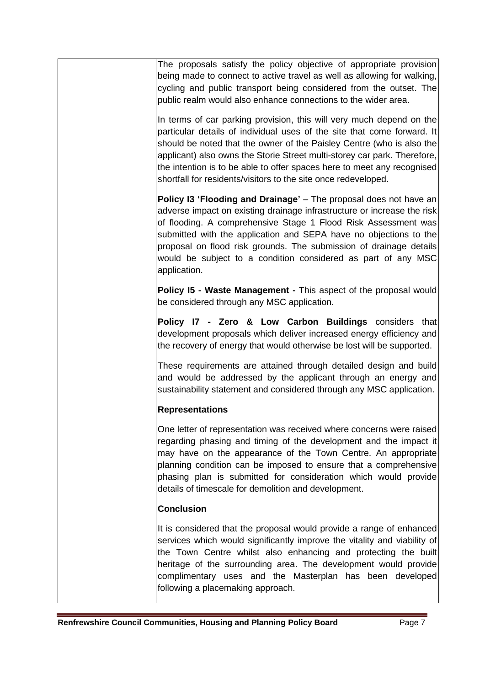| The proposals satisfy the policy objective of appropriate provision<br>being made to connect to active travel as well as allowing for walking,<br>cycling and public transport being considered from the outset. The<br>public realm would also enhance connections to the wider area.                                                                                                                                                            |
|---------------------------------------------------------------------------------------------------------------------------------------------------------------------------------------------------------------------------------------------------------------------------------------------------------------------------------------------------------------------------------------------------------------------------------------------------|
| In terms of car parking provision, this will very much depend on the<br>particular details of individual uses of the site that come forward. It<br>should be noted that the owner of the Paisley Centre (who is also the<br>applicant) also owns the Storie Street multi-storey car park. Therefore,<br>the intention is to be able to offer spaces here to meet any recognised<br>shortfall for residents/visitors to the site once redeveloped. |
| Policy I3 'Flooding and Drainage' - The proposal does not have an<br>adverse impact on existing drainage infrastructure or increase the risk<br>of flooding. A comprehensive Stage 1 Flood Risk Assessment was<br>submitted with the application and SEPA have no objections to the<br>proposal on flood risk grounds. The submission of drainage details<br>would be subject to a condition considered as part of any MSC<br>application.        |
| Policy I5 - Waste Management - This aspect of the proposal would<br>be considered through any MSC application.                                                                                                                                                                                                                                                                                                                                    |
| Policy I7 - Zero & Low Carbon Buildings considers that<br>development proposals which deliver increased energy efficiency and<br>the recovery of energy that would otherwise be lost will be supported.                                                                                                                                                                                                                                           |
| These requirements are attained through detailed design and build<br>and would be addressed by the applicant through an energy and<br>sustainability statement and considered through any MSC application.                                                                                                                                                                                                                                        |
| <b>Representations</b>                                                                                                                                                                                                                                                                                                                                                                                                                            |
| One letter of representation was received where concerns were raised<br>regarding phasing and timing of the development and the impact it<br>may have on the appearance of the Town Centre. An appropriate<br>planning condition can be imposed to ensure that a comprehensive<br>phasing plan is submitted for consideration which would provide<br>details of timescale for demolition and development.                                         |
| <b>Conclusion</b>                                                                                                                                                                                                                                                                                                                                                                                                                                 |
| It is considered that the proposal would provide a range of enhanced<br>services which would significantly improve the vitality and viability of<br>the Town Centre whilst also enhancing and protecting the built<br>heritage of the surrounding area. The development would provide<br>complimentary uses and the Masterplan has been developed<br>following a placemaking approach.                                                            |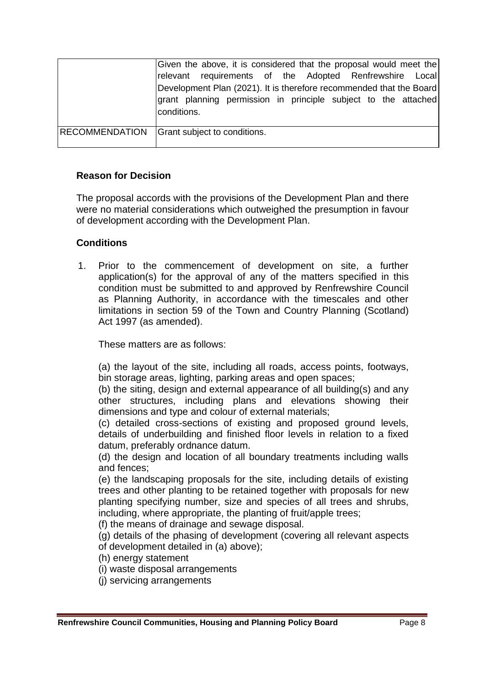|                       | Given the above, it is considered that the proposal would meet the            |
|-----------------------|-------------------------------------------------------------------------------|
|                       | relevant requirements of the Adopted Renfrewshire Local                       |
|                       | Development Plan (2021). It is therefore recommended that the Board           |
|                       | grant planning permission in principle subject to the attached<br>conditions. |
| <b>RECOMMENDATION</b> | Grant subject to conditions.                                                  |

## **Reason for Decision**

The proposal accords with the provisions of the Development Plan and there were no material considerations which outweighed the presumption in favour of development according with the Development Plan.

## **Conditions**

1. Prior to the commencement of development on site, a further application(s) for the approval of any of the matters specified in this condition must be submitted to and approved by Renfrewshire Council as Planning Authority, in accordance with the timescales and other limitations in section 59 of the Town and Country Planning (Scotland) Act 1997 (as amended).

These matters are as follows:

(a) the layout of the site, including all roads, access points, footways, bin storage areas, lighting, parking areas and open spaces;

(b) the siting, design and external appearance of all building(s) and any other structures, including plans and elevations showing their dimensions and type and colour of external materials;

(c) detailed cross-sections of existing and proposed ground levels, details of underbuilding and finished floor levels in relation to a fixed datum, preferably ordnance datum.

(d) the design and location of all boundary treatments including walls and fences;

(e) the landscaping proposals for the site, including details of existing trees and other planting to be retained together with proposals for new planting specifying number, size and species of all trees and shrubs, including, where appropriate, the planting of fruit/apple trees;

(f) the means of drainage and sewage disposal.

(g) details of the phasing of development (covering all relevant aspects of development detailed in (a) above);

(h) energy statement

- (i) waste disposal arrangements
- (j) servicing arrangements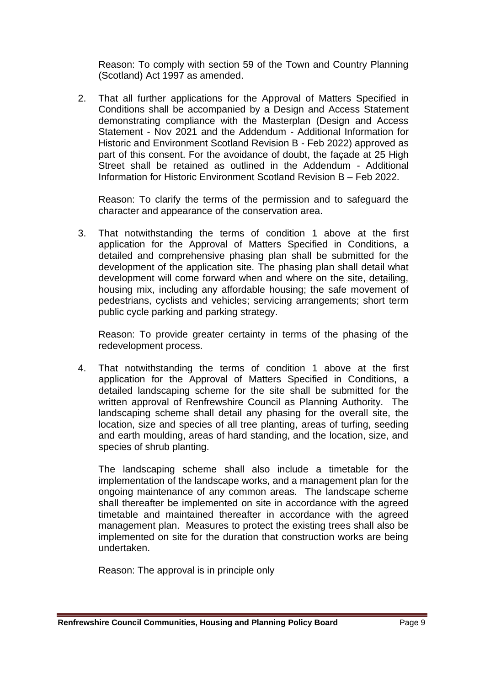Reason: To comply with section 59 of the Town and Country Planning (Scotland) Act 1997 as amended.

2. That all further applications for the Approval of Matters Specified in Conditions shall be accompanied by a Design and Access Statement demonstrating compliance with the Masterplan (Design and Access Statement - Nov 2021 and the Addendum - Additional Information for Historic and Environment Scotland Revision B - Feb 2022) approved as part of this consent. For the avoidance of doubt, the façade at 25 High Street shall be retained as outlined in the Addendum - Additional Information for Historic Environment Scotland Revision B – Feb 2022.

Reason: To clarify the terms of the permission and to safeguard the character and appearance of the conservation area.

3. That notwithstanding the terms of condition 1 above at the first application for the Approval of Matters Specified in Conditions, a detailed and comprehensive phasing plan shall be submitted for the development of the application site. The phasing plan shall detail what development will come forward when and where on the site, detailing, housing mix, including any affordable housing; the safe movement of pedestrians, cyclists and vehicles; servicing arrangements; short term public cycle parking and parking strategy.

Reason: To provide greater certainty in terms of the phasing of the redevelopment process.

4. That notwithstanding the terms of condition 1 above at the first application for the Approval of Matters Specified in Conditions, a detailed landscaping scheme for the site shall be submitted for the written approval of Renfrewshire Council as Planning Authority. The landscaping scheme shall detail any phasing for the overall site, the location, size and species of all tree planting, areas of turfing, seeding and earth moulding, areas of hard standing, and the location, size, and species of shrub planting.

The landscaping scheme shall also include a timetable for the implementation of the landscape works, and a management plan for the ongoing maintenance of any common areas. The landscape scheme shall thereafter be implemented on site in accordance with the agreed timetable and maintained thereafter in accordance with the agreed management plan. Measures to protect the existing trees shall also be implemented on site for the duration that construction works are being undertaken.

Reason: The approval is in principle only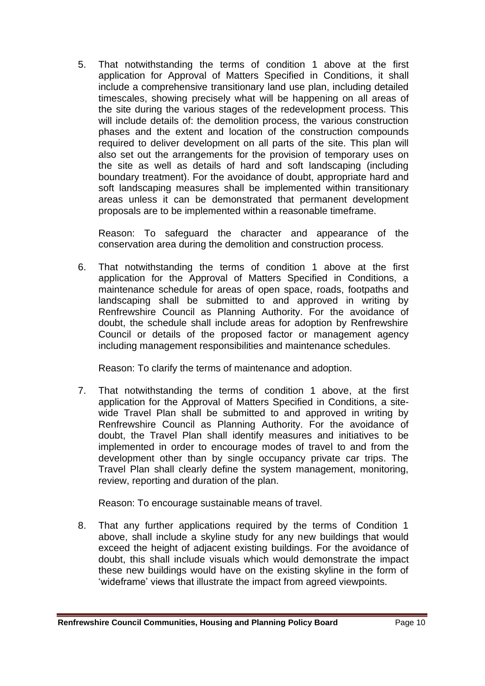5. That notwithstanding the terms of condition 1 above at the first application for Approval of Matters Specified in Conditions, it shall include a comprehensive transitionary land use plan, including detailed timescales, showing precisely what will be happening on all areas of the site during the various stages of the redevelopment process. This will include details of: the demolition process, the various construction phases and the extent and location of the construction compounds required to deliver development on all parts of the site. This plan will also set out the arrangements for the provision of temporary uses on the site as well as details of hard and soft landscaping (including boundary treatment). For the avoidance of doubt, appropriate hard and soft landscaping measures shall be implemented within transitionary areas unless it can be demonstrated that permanent development proposals are to be implemented within a reasonable timeframe.

Reason: To safeguard the character and appearance of the conservation area during the demolition and construction process.

6. That notwithstanding the terms of condition 1 above at the first application for the Approval of Matters Specified in Conditions, a maintenance schedule for areas of open space, roads, footpaths and landscaping shall be submitted to and approved in writing by Renfrewshire Council as Planning Authority. For the avoidance of doubt, the schedule shall include areas for adoption by Renfrewshire Council or details of the proposed factor or management agency including management responsibilities and maintenance schedules.

Reason: To clarify the terms of maintenance and adoption.

7. That notwithstanding the terms of condition 1 above, at the first application for the Approval of Matters Specified in Conditions, a sitewide Travel Plan shall be submitted to and approved in writing by Renfrewshire Council as Planning Authority. For the avoidance of doubt, the Travel Plan shall identify measures and initiatives to be implemented in order to encourage modes of travel to and from the development other than by single occupancy private car trips. The Travel Plan shall clearly define the system management, monitoring, review, reporting and duration of the plan.

Reason: To encourage sustainable means of travel.

8. That any further applications required by the terms of Condition 1 above, shall include a skyline study for any new buildings that would exceed the height of adjacent existing buildings. For the avoidance of doubt, this shall include visuals which would demonstrate the impact these new buildings would have on the existing skyline in the form of 'wideframe' views that illustrate the impact from agreed viewpoints.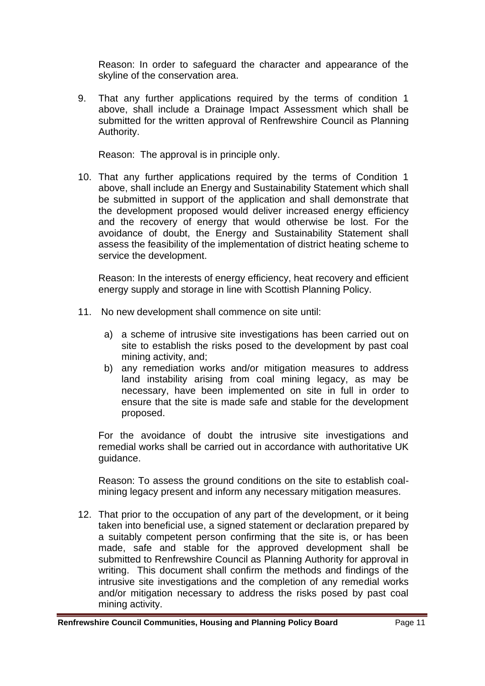Reason: In order to safeguard the character and appearance of the skyline of the conservation area.

9. That any further applications required by the terms of condition 1 above, shall include a Drainage Impact Assessment which shall be submitted for the written approval of Renfrewshire Council as Planning Authority.

Reason: The approval is in principle only.

10. That any further applications required by the terms of Condition 1 above, shall include an Energy and Sustainability Statement which shall be submitted in support of the application and shall demonstrate that the development proposed would deliver increased energy efficiency and the recovery of energy that would otherwise be lost. For the avoidance of doubt, the Energy and Sustainability Statement shall assess the feasibility of the implementation of district heating scheme to service the development.

Reason: In the interests of energy efficiency, heat recovery and efficient energy supply and storage in line with Scottish Planning Policy.

- 11. No new development shall commence on site until:
	- a) a scheme of intrusive site investigations has been carried out on site to establish the risks posed to the development by past coal mining activity, and;
	- b) any remediation works and/or mitigation measures to address land instability arising from coal mining legacy, as may be necessary, have been implemented on site in full in order to ensure that the site is made safe and stable for the development proposed.

For the avoidance of doubt the intrusive site investigations and remedial works shall be carried out in accordance with authoritative UK guidance.

Reason: To assess the ground conditions on the site to establish coalmining legacy present and inform any necessary mitigation measures.

12. That prior to the occupation of any part of the development, or it being taken into beneficial use, a signed statement or declaration prepared by a suitably competent person confirming that the site is, or has been made, safe and stable for the approved development shall be submitted to Renfrewshire Council as Planning Authority for approval in writing. This document shall confirm the methods and findings of the intrusive site investigations and the completion of any remedial works and/or mitigation necessary to address the risks posed by past coal mining activity.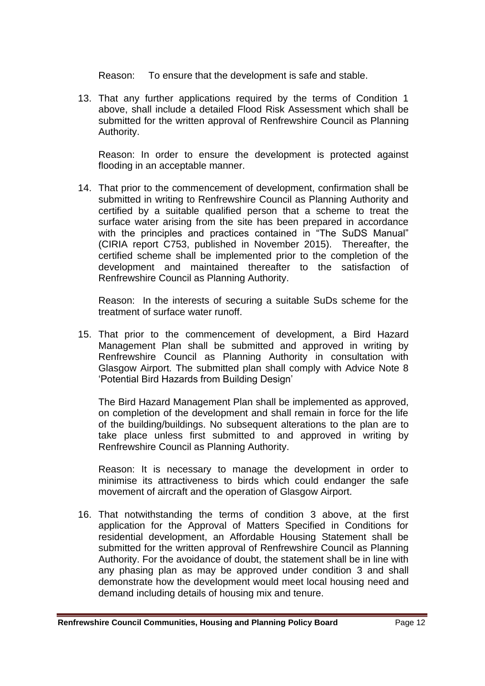Reason: To ensure that the development is safe and stable.

13. That any further applications required by the terms of Condition 1 above, shall include a detailed Flood Risk Assessment which shall be submitted for the written approval of Renfrewshire Council as Planning Authority.

Reason: In order to ensure the development is protected against flooding in an acceptable manner.

14. That prior to the commencement of development, confirmation shall be submitted in writing to Renfrewshire Council as Planning Authority and certified by a suitable qualified person that a scheme to treat the surface water arising from the site has been prepared in accordance with the principles and practices contained in "The SuDS Manual" (CIRIA report C753, published in November 2015). Thereafter, the certified scheme shall be implemented prior to the completion of the development and maintained thereafter to the satisfaction of Renfrewshire Council as Planning Authority.

Reason: In the interests of securing a suitable SuDs scheme for the treatment of surface water runoff.

15. That prior to the commencement of development, a Bird Hazard Management Plan shall be submitted and approved in writing by Renfrewshire Council as Planning Authority in consultation with Glasgow Airport. The submitted plan shall comply with Advice Note 8 'Potential Bird Hazards from Building Design'

The Bird Hazard Management Plan shall be implemented as approved, on completion of the development and shall remain in force for the life of the building/buildings. No subsequent alterations to the plan are to take place unless first submitted to and approved in writing by Renfrewshire Council as Planning Authority.

Reason: It is necessary to manage the development in order to minimise its attractiveness to birds which could endanger the safe movement of aircraft and the operation of Glasgow Airport.

16. That notwithstanding the terms of condition 3 above, at the first application for the Approval of Matters Specified in Conditions for residential development, an Affordable Housing Statement shall be submitted for the written approval of Renfrewshire Council as Planning Authority. For the avoidance of doubt, the statement shall be in line with any phasing plan as may be approved under condition 3 and shall demonstrate how the development would meet local housing need and demand including details of housing mix and tenure.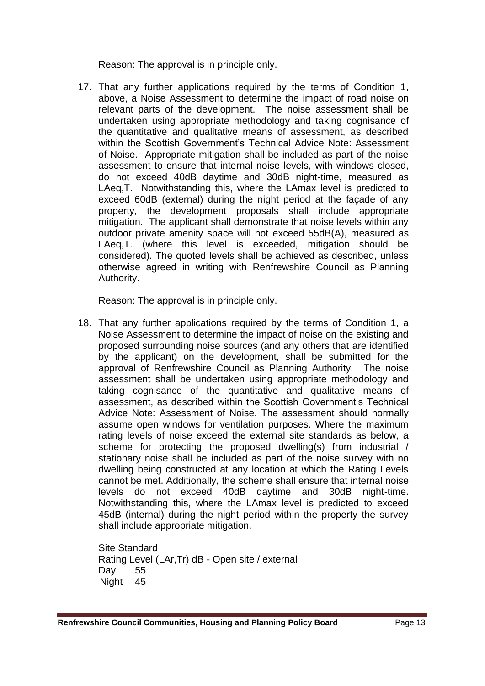Reason: The approval is in principle only.

17. That any further applications required by the terms of Condition 1, above, a Noise Assessment to determine the impact of road noise on relevant parts of the development. The noise assessment shall be undertaken using appropriate methodology and taking cognisance of the quantitative and qualitative means of assessment, as described within the Scottish Government's Technical Advice Note: Assessment of Noise. Appropriate mitigation shall be included as part of the noise assessment to ensure that internal noise levels, with windows closed, do not exceed 40dB daytime and 30dB night-time, measured as LAeq,T. Notwithstanding this, where the LAmax level is predicted to exceed 60dB (external) during the night period at the façade of any property, the development proposals shall include appropriate mitigation. The applicant shall demonstrate that noise levels within any outdoor private amenity space will not exceed 55dB(A), measured as LAeq,T. (where this level is exceeded, mitigation should be considered). The quoted levels shall be achieved as described, unless otherwise agreed in writing with Renfrewshire Council as Planning Authority.

Reason: The approval is in principle only.

18. That any further applications required by the terms of Condition 1, a Noise Assessment to determine the impact of noise on the existing and proposed surrounding noise sources (and any others that are identified by the applicant) on the development, shall be submitted for the approval of Renfrewshire Council as Planning Authority. The noise assessment shall be undertaken using appropriate methodology and taking cognisance of the quantitative and qualitative means of assessment, as described within the Scottish Government's Technical Advice Note: Assessment of Noise. The assessment should normally assume open windows for ventilation purposes. Where the maximum rating levels of noise exceed the external site standards as below, a scheme for protecting the proposed dwelling(s) from industrial / stationary noise shall be included as part of the noise survey with no dwelling being constructed at any location at which the Rating Levels cannot be met. Additionally, the scheme shall ensure that internal noise levels do not exceed 40dB daytime and 30dB night-time. Notwithstanding this, where the LAmax level is predicted to exceed 45dB (internal) during the night period within the property the survey shall include appropriate mitigation.

Site Standard Rating Level (LAr,Tr) dB - Open site / external Day 55 Night 45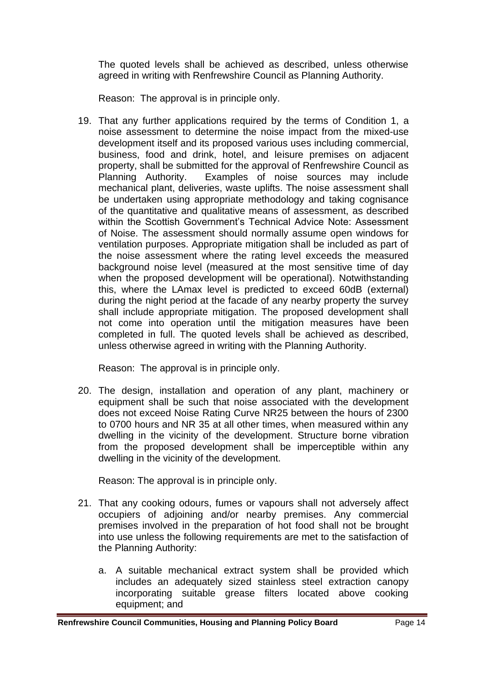The quoted levels shall be achieved as described, unless otherwise agreed in writing with Renfrewshire Council as Planning Authority.

Reason: The approval is in principle only.

19. That any further applications required by the terms of Condition 1, a noise assessment to determine the noise impact from the mixed-use development itself and its proposed various uses including commercial, business, food and drink, hotel, and leisure premises on adjacent property, shall be submitted for the approval of Renfrewshire Council as Planning Authority. Examples of noise sources may include mechanical plant, deliveries, waste uplifts. The noise assessment shall be undertaken using appropriate methodology and taking cognisance of the quantitative and qualitative means of assessment, as described within the Scottish Government's Technical Advice Note: Assessment of Noise. The assessment should normally assume open windows for ventilation purposes. Appropriate mitigation shall be included as part of the noise assessment where the rating level exceeds the measured background noise level (measured at the most sensitive time of day when the proposed development will be operational). Notwithstanding this, where the LAmax level is predicted to exceed 60dB (external) during the night period at the facade of any nearby property the survey shall include appropriate mitigation. The proposed development shall not come into operation until the mitigation measures have been completed in full. The quoted levels shall be achieved as described, unless otherwise agreed in writing with the Planning Authority.

Reason: The approval is in principle only.

20. The design, installation and operation of any plant, machinery or equipment shall be such that noise associated with the development does not exceed Noise Rating Curve NR25 between the hours of 2300 to 0700 hours and NR 35 at all other times, when measured within any dwelling in the vicinity of the development. Structure borne vibration from the proposed development shall be imperceptible within any dwelling in the vicinity of the development.

Reason: The approval is in principle only.

- 21. That any cooking odours, fumes or vapours shall not adversely affect occupiers of adjoining and/or nearby premises. Any commercial premises involved in the preparation of hot food shall not be brought into use unless the following requirements are met to the satisfaction of the Planning Authority:
	- a. A suitable mechanical extract system shall be provided which includes an adequately sized stainless steel extraction canopy incorporating suitable grease filters located above cooking equipment; and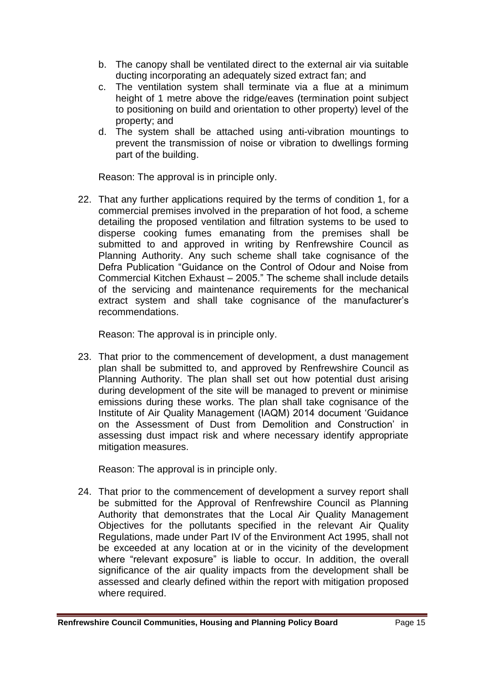- b. The canopy shall be ventilated direct to the external air via suitable ducting incorporating an adequately sized extract fan; and
- c. The ventilation system shall terminate via a flue at a minimum height of 1 metre above the ridge/eaves (termination point subject to positioning on build and orientation to other property) level of the property; and
- d. The system shall be attached using anti-vibration mountings to prevent the transmission of noise or vibration to dwellings forming part of the building.

Reason: The approval is in principle only.

22. That any further applications required by the terms of condition 1, for a commercial premises involved in the preparation of hot food, a scheme detailing the proposed ventilation and filtration systems to be used to disperse cooking fumes emanating from the premises shall be submitted to and approved in writing by Renfrewshire Council as Planning Authority. Any such scheme shall take cognisance of the Defra Publication "Guidance on the Control of Odour and Noise from Commercial Kitchen Exhaust – 2005." The scheme shall include details of the servicing and maintenance requirements for the mechanical extract system and shall take cognisance of the manufacturer's recommendations.

Reason: The approval is in principle only.

23. That prior to the commencement of development, a dust management plan shall be submitted to, and approved by Renfrewshire Council as Planning Authority. The plan shall set out how potential dust arising during development of the site will be managed to prevent or minimise emissions during these works. The plan shall take cognisance of the Institute of Air Quality Management (IAQM) 2014 document 'Guidance on the Assessment of Dust from Demolition and Construction' in assessing dust impact risk and where necessary identify appropriate mitigation measures.

Reason: The approval is in principle only.

24. That prior to the commencement of development a survey report shall be submitted for the Approval of Renfrewshire Council as Planning Authority that demonstrates that the Local Air Quality Management Objectives for the pollutants specified in the relevant Air Quality Regulations, made under Part IV of the Environment Act 1995, shall not be exceeded at any location at or in the vicinity of the development where "relevant exposure" is liable to occur. In addition, the overall significance of the air quality impacts from the development shall be assessed and clearly defined within the report with mitigation proposed where required.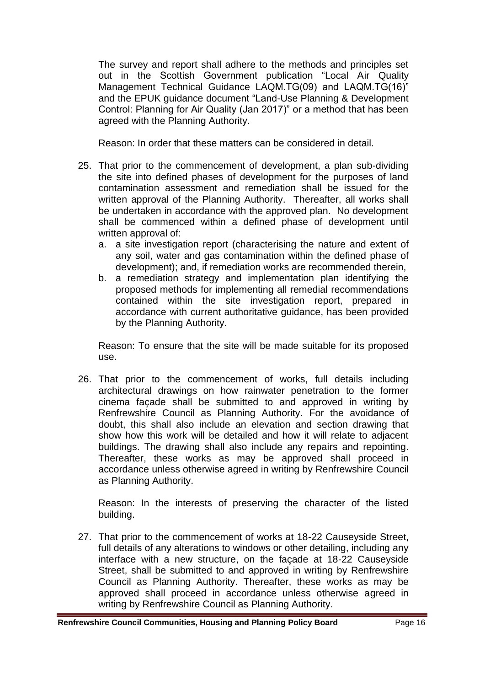The survey and report shall adhere to the methods and principles set out in the Scottish Government publication "Local Air Quality Management Technical Guidance LAQM.TG(09) and LAQM.TG(16)" and the EPUK guidance document "Land-Use Planning & Development Control: Planning for Air Quality (Jan 2017)" or a method that has been agreed with the Planning Authority.

Reason: In order that these matters can be considered in detail.

- 25. That prior to the commencement of development, a plan sub-dividing the site into defined phases of development for the purposes of land contamination assessment and remediation shall be issued for the written approval of the Planning Authority. Thereafter, all works shall be undertaken in accordance with the approved plan. No development shall be commenced within a defined phase of development until written approval of:
	- a. a site investigation report (characterising the nature and extent of any soil, water and gas contamination within the defined phase of development); and, if remediation works are recommended therein,
	- b. a remediation strategy and implementation plan identifying the proposed methods for implementing all remedial recommendations contained within the site investigation report, prepared in accordance with current authoritative guidance, has been provided by the Planning Authority.

Reason: To ensure that the site will be made suitable for its proposed use.

26. That prior to the commencement of works, full details including architectural drawings on how rainwater penetration to the former cinema façade shall be submitted to and approved in writing by Renfrewshire Council as Planning Authority. For the avoidance of doubt, this shall also include an elevation and section drawing that show how this work will be detailed and how it will relate to adjacent buildings. The drawing shall also include any repairs and repointing. Thereafter, these works as may be approved shall proceed in accordance unless otherwise agreed in writing by Renfrewshire Council as Planning Authority.

Reason: In the interests of preserving the character of the listed building.

27. That prior to the commencement of works at 18-22 Causeyside Street, full details of any alterations to windows or other detailing, including any interface with a new structure, on the façade at 18-22 Causeyside Street, shall be submitted to and approved in writing by Renfrewshire Council as Planning Authority. Thereafter, these works as may be approved shall proceed in accordance unless otherwise agreed in writing by Renfrewshire Council as Planning Authority.